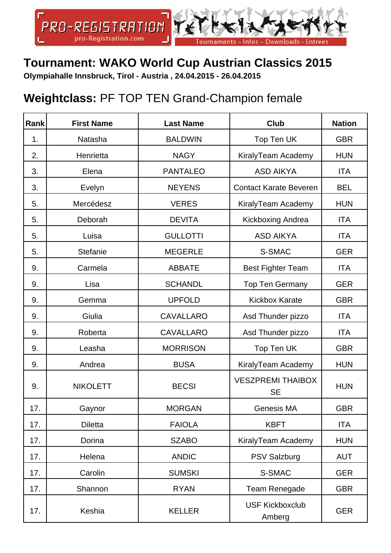

## **Tournament: WAKO World Cup Austrian Classics 2015**

**Olympiahalle Innsbruck, Tirol - Austria , 24.04.2015 - 26.04.2015**

## **Weightclass:** PF TOP TEN Grand-Champion female

| Rank | <b>First Name</b> | <b>Last Name</b> | <b>Club</b>                           | <b>Nation</b> |
|------|-------------------|------------------|---------------------------------------|---------------|
| 1.   | Natasha           | <b>BALDWIN</b>   | Top Ten UK                            | <b>GBR</b>    |
| 2.   | Henrietta         | <b>NAGY</b>      | KiralyTeam Academy                    | <b>HUN</b>    |
| 3.   | Elena             | <b>PANTALEO</b>  | <b>ASD AIKYA</b>                      | <b>ITA</b>    |
| 3.   | Evelyn            | <b>NEYENS</b>    | <b>Contact Karate Beveren</b>         | <b>BEL</b>    |
| 5.   | Mercédesz         | <b>VERES</b>     | KiralyTeam Academy                    | <b>HUN</b>    |
| 5.   | Deborah           | <b>DEVITA</b>    | Kickboxing Andrea                     | <b>ITA</b>    |
| 5.   | Luisa             | <b>GULLOTTI</b>  | <b>ASD AIKYA</b>                      | <b>ITA</b>    |
| 5.   | <b>Stefanie</b>   | <b>MEGERLE</b>   | S-SMAC                                | <b>GER</b>    |
| 9.   | Carmela           | <b>ABBATE</b>    | <b>Best Fighter Team</b>              | <b>ITA</b>    |
| 9.   | Lisa              | <b>SCHANDL</b>   | <b>Top Ten Germany</b>                | <b>GER</b>    |
| 9.   | Gemma             | <b>UPFOLD</b>    | <b>Kickbox Karate</b>                 | <b>GBR</b>    |
| 9.   | Giulia            | <b>CAVALLARO</b> | Asd Thunder pizzo                     | <b>ITA</b>    |
| 9.   | Roberta           | <b>CAVALLARO</b> | Asd Thunder pizzo                     | <b>ITA</b>    |
| 9.   | Leasha            | <b>MORRISON</b>  | Top Ten UK                            | <b>GBR</b>    |
| 9.   | Andrea            | <b>BUSA</b>      | KiralyTeam Academy                    | <b>HUN</b>    |
| 9.   | <b>NIKOLETT</b>   | <b>BECSI</b>     | <b>VESZPREMI THAIBOX</b><br><b>SE</b> | <b>HUN</b>    |
| 17.  | Gaynor            | <b>MORGAN</b>    | Genesis MA                            | <b>GBR</b>    |
| 17.  | <b>Diletta</b>    | <b>FAIOLA</b>    | <b>KBFT</b>                           | <b>ITA</b>    |
| 17.  | Dorina            | <b>SZABO</b>     | KiralyTeam Academy                    | <b>HUN</b>    |
| 17.  | Helena            | <b>ANDIC</b>     | <b>PSV Salzburg</b>                   | <b>AUT</b>    |
| 17.  | Carolin           | <b>SUMSKI</b>    | S-SMAC                                | <b>GER</b>    |
| 17.  | Shannon           | <b>RYAN</b>      | Team Renegade                         | <b>GBR</b>    |
| 17.  | Keshia            | <b>KELLER</b>    | <b>USF Kickboxclub</b><br>Amberg      | <b>GER</b>    |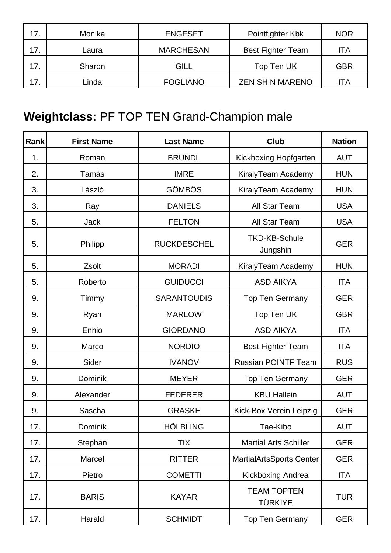| 17. | Monika | <b>ENGESET</b>   | Pointfighter Kbk         | <b>NOR</b> |
|-----|--------|------------------|--------------------------|------------|
| 17. | Laura  | <b>MARCHESAN</b> | <b>Best Fighter Team</b> | ITA        |
| 17. | Sharon | GILL             | Top Ten UK               | <b>GBR</b> |
| 17. | Linda  | <b>FOGLIANO</b>  | <b>ZEN SHIN MARENO</b>   | ITA        |

## **Weightclass:** PF TOP TEN Grand-Champion male

| Rank | <b>First Name</b> | <b>Last Name</b>   | <b>Club</b>                          | <b>Nation</b> |
|------|-------------------|--------------------|--------------------------------------|---------------|
| 1.   | Roman             | <b>BRÜNDL</b>      | Kickboxing Hopfgarten                | <b>AUT</b>    |
| 2.   | Tamás             | <b>IMRE</b>        | KiralyTeam Academy                   | <b>HUN</b>    |
| 3.   | László            | <b>GÖMBÖS</b>      | KiralyTeam Academy                   | <b>HUN</b>    |
| 3.   | Ray               | <b>DANIELS</b>     | All Star Team                        | <b>USA</b>    |
| 5.   | <b>Jack</b>       | <b>FELTON</b>      | All Star Team                        | <b>USA</b>    |
| 5.   | Philipp           | <b>RUCKDESCHEL</b> | <b>TKD-KB-Schule</b><br>Jungshin     | <b>GER</b>    |
| 5.   | Zsolt             | <b>MORADI</b>      | KiralyTeam Academy                   | <b>HUN</b>    |
| 5.   | Roberto           | <b>GUIDUCCI</b>    | <b>ASD AIKYA</b>                     | <b>ITA</b>    |
| 9.   | Timmy             | <b>SARANTOUDIS</b> | <b>Top Ten Germany</b>               | <b>GER</b>    |
| 9.   | Ryan              | <b>MARLOW</b>      | Top Ten UK                           | <b>GBR</b>    |
| 9.   | Ennio             | <b>GIORDANO</b>    | <b>ASD AIKYA</b>                     | <b>ITA</b>    |
| 9.   | Marco             | <b>NORDIO</b>      | <b>Best Fighter Team</b>             | <b>ITA</b>    |
| 9.   | Sider             | <b>IVANOV</b>      | <b>Russian POINTF Team</b>           | <b>RUS</b>    |
| 9.   | Dominik           | <b>MEYER</b>       | <b>Top Ten Germany</b>               | <b>GER</b>    |
| 9.   | Alexander         | <b>FEDERER</b>     | <b>KBU Hallein</b>                   | <b>AUT</b>    |
| 9.   | Sascha            | <b>GRÄSKE</b>      | Kick-Box Verein Leipzig              | <b>GER</b>    |
| 17.  | Dominik           | <b>HÖLBLING</b>    | Tae-Kibo                             | <b>AUT</b>    |
| 17.  | Stephan           | <b>TIX</b>         | <b>Martial Arts Schiller</b>         | <b>GER</b>    |
| 17.  | Marcel            | <b>RITTER</b>      | <b>MartialArtsSports Center</b>      | <b>GER</b>    |
| 17.  | Pietro            | <b>COMETTI</b>     | Kickboxing Andrea                    | <b>ITA</b>    |
| 17.  | <b>BARIS</b>      | <b>KAYAR</b>       | <b>TEAM TOPTEN</b><br><b>TÜRKIYE</b> | <b>TUR</b>    |
| 17.  | Harald            | <b>SCHMIDT</b>     | <b>Top Ten Germany</b>               | <b>GER</b>    |